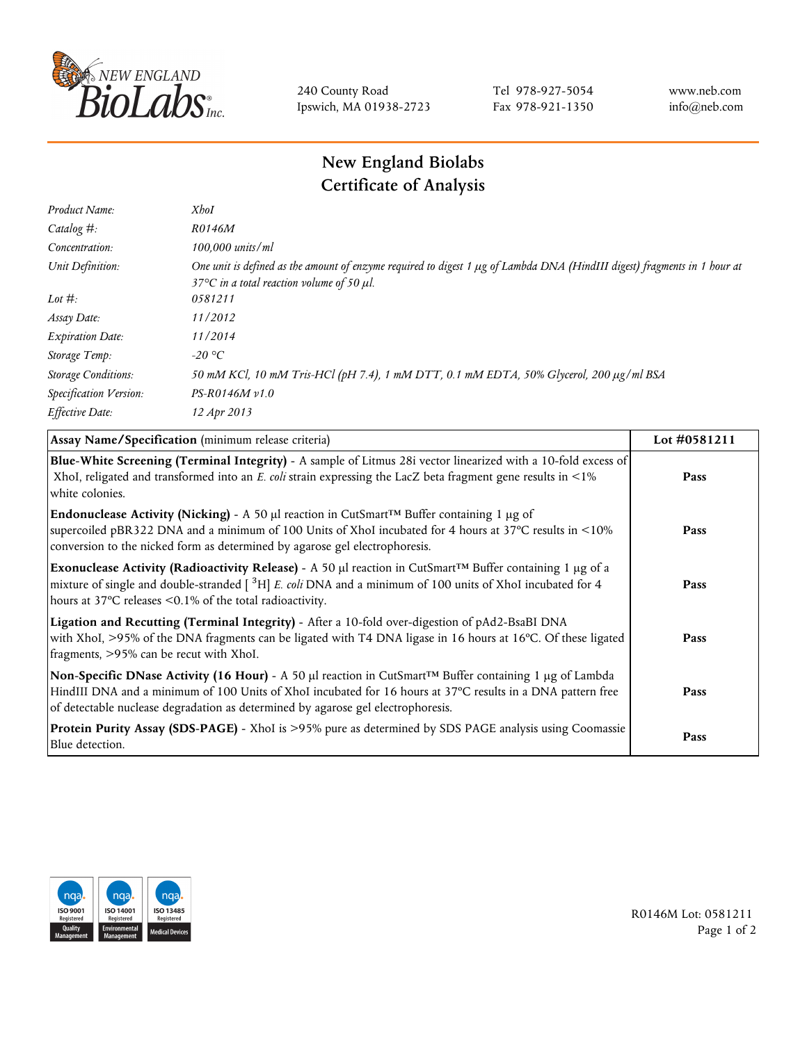

240 County Road Ipswich, MA 01938-2723 Tel 978-927-5054 Fax 978-921-1350 www.neb.com info@neb.com

## **New England Biolabs Certificate of Analysis**

| Product Name:              | <b>XhoI</b>                                                                                                                                                                           |
|----------------------------|---------------------------------------------------------------------------------------------------------------------------------------------------------------------------------------|
| Catalog $#$ :              | R0146M                                                                                                                                                                                |
| Concentration:             | 100,000 units/ml                                                                                                                                                                      |
| Unit Definition:           | One unit is defined as the amount of enzyme required to digest 1 µg of Lambda DNA (HindIII digest) fragments in 1 hour at<br>37 $\degree$ C in a total reaction volume of 50 $\mu$ l. |
| Lot $\#$ :                 | 0581211                                                                                                                                                                               |
| Assay Date:                | 11/2012                                                                                                                                                                               |
| <b>Expiration Date:</b>    | 11/2014                                                                                                                                                                               |
| Storage Temp:              | -20 °C                                                                                                                                                                                |
| <b>Storage Conditions:</b> | 50 mM KCl, 10 mM Tris-HCl (pH 7.4), 1 mM DTT, 0.1 mM EDTA, 50% Glycerol, 200 µg/ml BSA                                                                                                |
| Specification Version:     | $PS-R0146M v1.0$                                                                                                                                                                      |
| Effective Date:            | 12 Apr 2013                                                                                                                                                                           |

| Assay Name/Specification (minimum release criteria)                                                                                                                                                                                                                                                                 | Lot #0581211 |
|---------------------------------------------------------------------------------------------------------------------------------------------------------------------------------------------------------------------------------------------------------------------------------------------------------------------|--------------|
| Blue-White Screening (Terminal Integrity) - A sample of Litmus 28i vector linearized with a 10-fold excess of<br>XhoI, religated and transformed into an E. coli strain expressing the LacZ beta fragment gene results in <1%<br>white colonies.                                                                    | Pass         |
| <b>Endonuclease Activity (Nicking)</b> - A 50 µl reaction in CutSmart <sup>TM</sup> Buffer containing 1 µg of<br>supercoiled pBR322 DNA and a minimum of 100 Units of XhoI incubated for 4 hours at 37°C results in <10%<br>conversion to the nicked form as determined by agarose gel electrophoresis.             | Pass         |
| Exonuclease Activity (Radioactivity Release) - A 50 $\mu$ l reaction in CutSmart <sup>TM</sup> Buffer containing 1 $\mu$ g of a<br>mixture of single and double-stranded $\int_{0}^{3}H$ E. coli DNA and a minimum of 100 units of XhoI incubated for 4<br>hours at 37°C releases <0.1% of the total radioactivity. | Pass         |
| Ligation and Recutting (Terminal Integrity) - After a 10-fold over-digestion of pAd2-BsaBI DNA<br>with XhoI, >95% of the DNA fragments can be ligated with T4 DNA ligase in 16 hours at 16°C. Of these ligated<br>fragments, >95% can be recut with XhoI.                                                           | Pass         |
| Non-Specific DNase Activity (16 Hour) - A 50 µl reaction in CutSmart™ Buffer containing 1 µg of Lambda<br>HindIII DNA and a minimum of 100 Units of XhoI incubated for 16 hours at 37°C results in a DNA pattern free<br>of detectable nuclease degradation as determined by agarose gel electrophoresis.           | Pass         |
| Protein Purity Assay (SDS-PAGE) - XhoI is >95% pure as determined by SDS PAGE analysis using Coomassie<br>Blue detection.                                                                                                                                                                                           | Pass         |



R0146M Lot: 0581211 Page 1 of 2